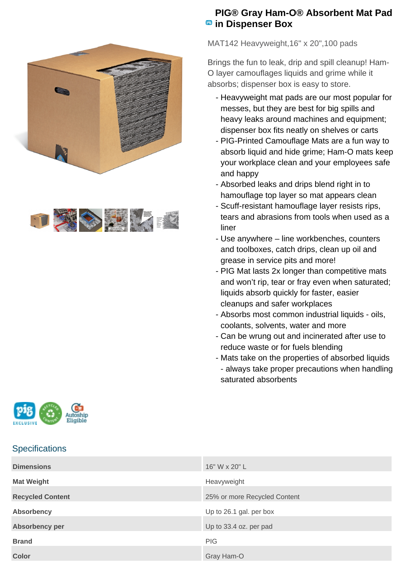



## **PIG® Gray Ham-O® Absorbent Mat Pad B** in Dispenser Box

MAT142 Heavyweight,16" x 20",100 pads

Brings the fun to leak, drip and spill cleanup! Ham-O layer camouflages liquids and grime while it absorbs; dispenser box is easy to store.

- Heavyweight mat pads are our most popular for messes, but they are best for big spills and heavy leaks around machines and equipment; dispenser box fits neatly on shelves or carts
- PIG-Printed Camouflage Mats are a fun way to absorb liquid and hide grime; Ham-O mats keep your workplace clean and your employees safe and happy
- Absorbed leaks and drips blend right in to hamouflage top layer so mat appears clean
- Scuff-resistant hamouflage layer resists rips, tears and abrasions from tools when used as a liner
- Use anywhere line workbenches, counters and toolboxes, catch drips, clean up oil and grease in service pits and more!
- PIG Mat lasts 2x longer than competitive mats and won't rip, tear or fray even when saturated; liquids absorb quickly for faster, easier cleanups and safer workplaces
- Absorbs most common industrial liquids oils, coolants, solvents, water and more
- Can be wrung out and incinerated after use to reduce waste or for fuels blending
- Mats take on the properties of absorbed liquids - always take proper precautions when handling saturated absorbents



## **Specifications**

| <b>Dimensions</b>       | 16" W x 20" L                |
|-------------------------|------------------------------|
| <b>Mat Weight</b>       | Heavyweight                  |
| <b>Recycled Content</b> | 25% or more Recycled Content |
| <b>Absorbency</b>       | Up to 26.1 gal. per box      |
| Absorbency per          | Up to 33.4 oz. per pad       |
| <b>Brand</b>            | <b>PIG</b>                   |
| <b>Color</b>            | Gray Ham-O                   |